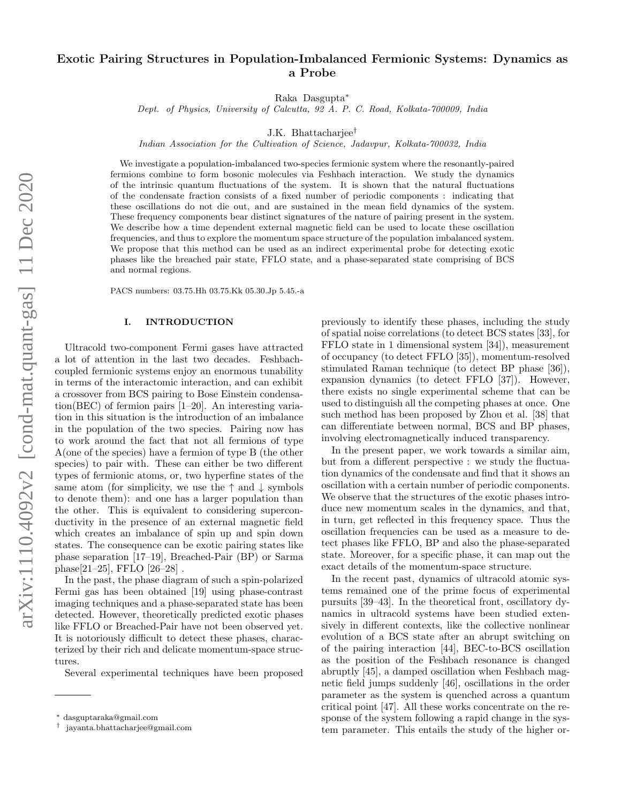# Exotic Pairing Structures in Population-Imbalanced Fermionic Systems: Dynamics as a Probe

Raka Dasgupta<sup>∗</sup>

Dept. of Physics, University of Calcutta, 92 A. P. C. Road, Kolkata-700009, India

J.K. Bhattacharjee†

Indian Association for the Cultivation of Science, Jadavpur, Kolkata-700032, India

We investigate a population-imbalanced two-species fermionic system where the resonantly-paired fermions combine to form bosonic molecules via Feshbach interaction. We study the dynamics of the intrinsic quantum fluctuations of the system. It is shown that the natural fluctuations of the condensate fraction consists of a fixed number of periodic components : indicating that these oscillations do not die out, and are sustained in the mean field dynamics of the system. These frequency components bear distinct signatures of the nature of pairing present in the system. We describe how a time dependent external magnetic field can be used to locate these oscillation frequencies, and thus to explore the momentum space structure of the population imbalanced system. We propose that this method can be used as an indirect experimental probe for detecting exotic phases like the breached pair state, FFLO state, and a phase-separated state comprising of BCS and normal regions.

PACS numbers: 03.75.Hh 03.75.Kk 05.30.Jp 5.45.-a

### I. INTRODUCTION

Ultracold two-component Fermi gases have attracted a lot of attention in the last two decades. Feshbachcoupled fermionic systems enjoy an enormous tunability in terms of the interactomic interaction, and can exhibit a crossover from BCS pairing to Bose Einstein condensation(BEC) of fermion pairs [1–20]. An interesting variation in this situation is the introduction of an imbalance in the population of the two species. Pairing now has to work around the fact that not all fermions of type A(one of the species) have a fermion of type B (the other species) to pair with. These can either be two different types of fermionic atoms, or, two hyperfine states of the same atom (for simplicity, we use the  $\uparrow$  and  $\downarrow$  symbols to denote them): and one has a larger population than the other. This is equivalent to considering superconductivity in the presence of an external magnetic field which creates an imbalance of spin up and spin down states. The consequence can be exotic pairing states like phase separation [17–19], Breached-Pair (BP) or Sarma phase[21–25], FFLO [26–28] .

In the past, the phase diagram of such a spin-polarized Fermi gas has been obtained [19] using phase-contrast imaging techniques and a phase-separated state has been detected. However, theoretically predicted exotic phases like FFLO or Breached-Pair have not been observed yet. It is notoriously difficult to detect these phases, characterized by their rich and delicate momentum-space structures.

Several experimental techniques have been proposed

previously to identify these phases, including the study of spatial noise correlations (to detect BCS states [33], for FFLO state in 1 dimensional system [34]), measurement of occupancy (to detect FFLO [35]), momentum-resolved stimulated Raman technique (to detect BP phase [36]), expansion dynamics (to detect FFLO [37]). However, there exists no single experimental scheme that can be used to distinguish all the competing phases at once. One such method has been proposed by Zhou et al. [38] that can differentiate between normal, BCS and BP phases, involving electromagnetically induced transparency.

In the present paper, we work towards a similar aim, but from a different perspective : we study the fluctuation dynamics of the condensate and find that it shows an oscillation with a certain number of periodic components. We observe that the structures of the exotic phases introduce new momentum scales in the dynamics, and that, in turn, get reflected in this frequency space. Thus the oscillation frequencies can be used as a measure to detect phases like FFLO, BP and also the phase-separated state. Moreover, for a specific phase, it can map out the exact details of the momentum-space structure.

In the recent past, dynamics of ultracold atomic systems remained one of the prime focus of experimental pursuits [39–43]. In the theoretical front, oscillatory dynamics in ultracold systems have been studied extensively in different contexts, like the collective nonlinear evolution of a BCS state after an abrupt switching on of the pairing interaction [44], BEC-to-BCS oscillation as the position of the Feshbach resonance is changed abruptly [45], a damped oscillation when Feshbach magnetic field jumps suddenly [46], oscillations in the order parameter as the system is quenched across a quantum critical point [47]. All these works concentrate on the response of the system following a rapid change in the system parameter. This entails the study of the higher or-

<sup>∗</sup> dasguptaraka@gmail.com

<sup>†</sup> jayanta.bhattacharjee@gmail.com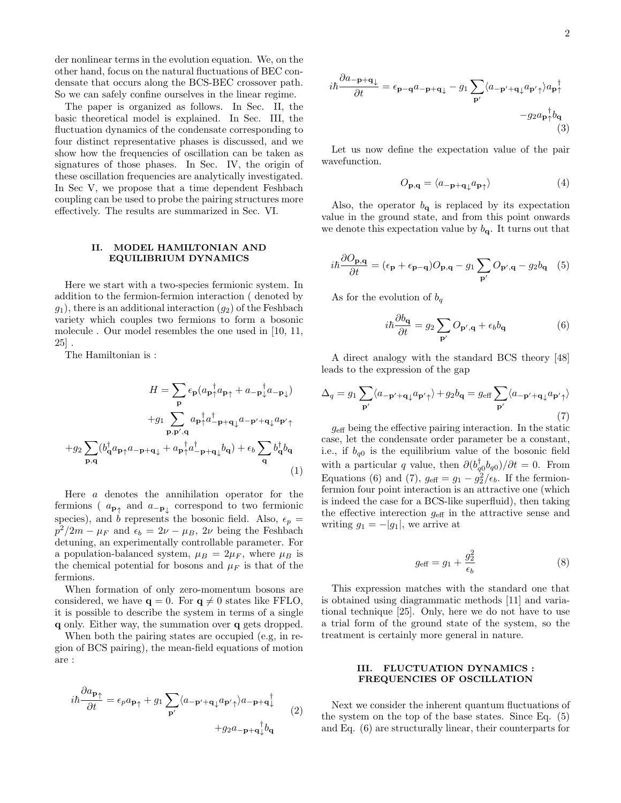der nonlinear terms in the evolution equation. We, on the other hand, focus on the natural fluctuations of BEC condensate that occurs along the BCS-BEC crossover path. So we can safely confine ourselves in the linear regime.

The paper is organized as follows. In Sec. II, the basic theoretical model is explained. In Sec. III, the fluctuation dynamics of the condensate corresponding to four distinct representative phases is discussed, and we show how the frequencies of oscillation can be taken as signatures of those phases. In Sec. IV, the origin of these oscillation frequencies are analytically investigated. In Sec V, we propose that a time dependent Feshbach coupling can be used to probe the pairing structures more effectively. The results are summarized in Sec. VI.

### II. MODEL HAMILTONIAN AND EQUILIBRIUM DYNAMICS

Here we start with a two-species fermionic system. In addition to the fermion-fermion interaction ( denoted by  $g_1$ , there is an additional interaction  $(g_2)$  of the Feshbach variety which couples two fermions to form a bosonic molecule . Our model resembles the one used in [10, 11, 25] .

The Hamiltonian is :

$$
H = \sum_{\mathbf{p}} \epsilon_{\mathbf{p}} (a_{\mathbf{p}_{\uparrow}}^{\dagger} a_{\mathbf{p}_{\uparrow}} + a_{-\mathbf{p}_{\downarrow}}^{\dagger} a_{-\mathbf{p}_{\downarrow}})
$$

$$
+ g_1 \sum_{\mathbf{p}, \mathbf{p}', \mathbf{q}} a_{\mathbf{p}_{\uparrow}}^{\dagger} a_{-\mathbf{p}+\mathbf{q}_{\downarrow}}^{\dagger} a_{-\mathbf{p}'+\mathbf{q}_{\downarrow}} a_{\mathbf{p}'\uparrow}
$$

$$
+ g_2 \sum_{\mathbf{p}, \mathbf{q}} (b_{\mathbf{q}}^{\dagger} a_{\mathbf{p}_{\uparrow}} a_{-\mathbf{p}+\mathbf{q}_{\downarrow}} + a_{\mathbf{p}_{\uparrow}}^{\dagger} a_{-\mathbf{p}+\mathbf{q}_{\downarrow}}^{\dagger} b_{\mathbf{q}}) + \epsilon_b \sum_{\mathbf{q}} b_{\mathbf{q}}^{\dagger} b_{\mathbf{q}} \tag{1}
$$

Here a denotes the annihilation operator for the fermions ( $a_{\mathbf{p}\uparrow}$  and  $a_{-\mathbf{p}\downarrow}$  correspond to two fermionic species), and b represents the bosonic field. Also,  $\epsilon_p$  =  $p^2/2m - \mu_F$  and  $\epsilon_b = 2\nu - \mu_B$ , 2ν being the Feshbach detuning, an experimentally controllable parameter. For a population-balanced system,  $\mu_B = 2\mu_F$ , where  $\mu_B$  is the chemical potential for bosons and  $\mu_F$  is that of the fermions.

When formation of only zero-momentum bosons are considered, we have  $q = 0$ . For  $q \neq 0$  states like FFLO, it is possible to describe the system in terms of a single q only. Either way, the summation over q gets dropped.

When both the pairing states are occupied (e.g, in region of BCS pairing), the mean-field equations of motion are :

$$
i\hbar \frac{\partial a_{\mathbf{p}\uparrow}}{\partial t} = \epsilon_p a_{\mathbf{p}\uparrow} + g_1 \sum_{\mathbf{p}'} \langle a_{-\mathbf{p'}+\mathbf{q}\downarrow} a_{\mathbf{p'}\uparrow} \rangle a_{-\mathbf{p}+\mathbf{q}\downarrow}^{\dagger} \tag{2}
$$

$$
+ g_2 a_{-\mathbf{p}+\mathbf{q}\downarrow}^{\dagger} b_{\mathbf{q}}
$$

$$
i\hbar \frac{\partial a_{-\mathbf{p}+\mathbf{q}\downarrow}}{\partial t} = \epsilon_{\mathbf{p}-\mathbf{q}} a_{-\mathbf{p}+\mathbf{q}\downarrow} - g_1 \sum_{\mathbf{p}'} \langle a_{-\mathbf{p}'+\mathbf{q}\downarrow} a_{\mathbf{p}'} \rangle a_{\mathbf{p}'}^{\dagger} - g_2 a_{\mathbf{p}'}^{\dagger} b_{\mathbf{q}} \tag{3}
$$

Let us now define the expectation value of the pair wavefunction.

$$
O_{\mathbf{p},\mathbf{q}} = \langle a_{-\mathbf{p}+\mathbf{q}\downarrow} a_{\mathbf{p}\uparrow} \rangle \tag{4}
$$

Also, the operator  $b_{q}$  is replaced by its expectation value in the ground state, and from this point onwards we denote this expectation value by  $b_{q}$ . It turns out that

$$
i\hbar \frac{\partial O_{\mathbf{p},\mathbf{q}}}{\partial t} = (\epsilon_{\mathbf{p}} + \epsilon_{\mathbf{p}-\mathbf{q}})O_{\mathbf{p},\mathbf{q}} - g_1 \sum_{\mathbf{p}'} O_{\mathbf{p}',\mathbf{q}} - g_2 b_{\mathbf{q}} \quad (5)
$$

As for the evolution of  $b_q$ 

$$
i\hbar \frac{\partial b_{\mathbf{q}}}{\partial t} = g_2 \sum_{\mathbf{p}'} O_{\mathbf{p}',\mathbf{q}} + \epsilon_b b_{\mathbf{q}} \tag{6}
$$

A direct analogy with the standard BCS theory [48] leads to the expression of the gap

$$
\Delta_q = g_1 \sum_{\mathbf{p'}} \langle a_{-\mathbf{p'}+\mathbf{q}\downarrow} a_{\mathbf{p'}\uparrow} \rangle + g_2 b_{\mathbf{q}} = g_{\text{eff}} \sum_{\mathbf{p'}} \langle a_{-\mathbf{p'}+\mathbf{q}\downarrow} a_{\mathbf{p'}\uparrow} \rangle
$$
\n(7)

 $g_{\text{eff}}$  being the effective pairing interaction. In the static case, let the condensate order parameter be a constant, i.e., if  $b_{q0}$  is the equilibrium value of the bosonic field with a particular q value, then  $\partial (b_q^{\dagger} b_{q0})/\partial t = 0$ . From Equations (6) and (7),  $g_{\text{eff}} = g_1 - g_2^2/\epsilon_b$ . If the fermionfermion four point interaction is an attractive one (which is indeed the case for a BCS-like superfluid), then taking the effective interection  $g_{\text{eff}}$  in the attractive sense and writing  $g_1 = -|g_1|$ , we arrive at

$$
g_{\text{eff}} = g_1 + \frac{g_2^2}{\epsilon_b} \tag{8}
$$

This expression matches with the standard one that is obtained using diagrammatic methods [11] and variational technique [25]. Only, here we do not have to use a trial form of the ground state of the system, so the treatment is certainly more general in nature.

## III. FLUCTUATION DYNAMICS : FREQUENCIES OF OSCILLATION

Next we consider the inherent quantum fluctuations of the system on the top of the base states. Since Eq. (5) and Eq. (6) are structurally linear, their counterparts for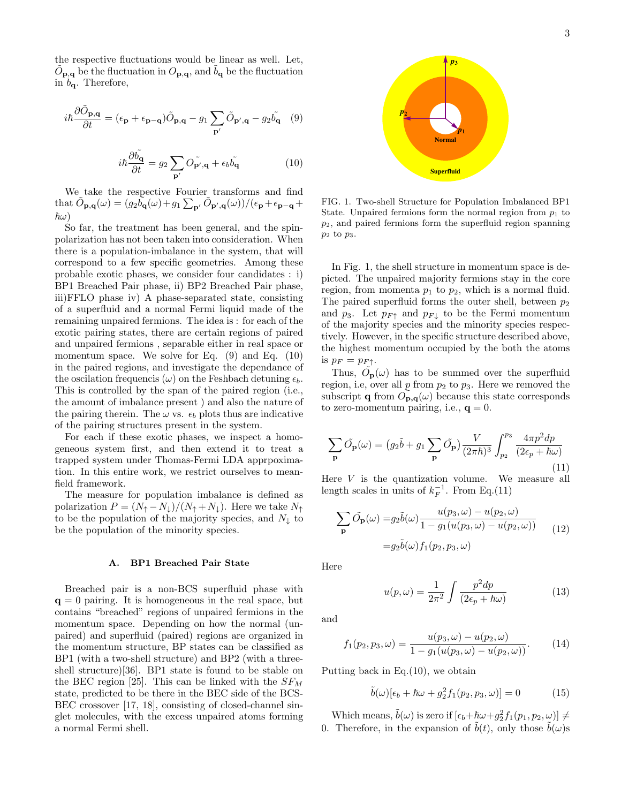the respective fluctuations would be linear as well. Let,  $\tilde{O}_{\mathbf{p},\mathbf{q}}$  be the fluctuation in  $O_{\mathbf{p},\mathbf{q}}$ , and  $\tilde{b}_{\mathbf{q}}$  be the fluctuation in  $b_{q}$ . Therefore,

$$
i\hbar \frac{\partial \tilde{O}_{\mathbf{p},\mathbf{q}}}{\partial t} = (\epsilon_{\mathbf{p}} + \epsilon_{\mathbf{p}-\mathbf{q}}) \tilde{O}_{\mathbf{p},\mathbf{q}} - g_1 \sum_{\mathbf{p}'} \tilde{O}_{\mathbf{p}',\mathbf{q}} - g_2 \tilde{b}_{\mathbf{q}} \quad (9)
$$

$$
i\hbar \frac{\partial \tilde{b}_{\mathbf{q}}}{\partial t} = g_2 \sum_{\mathbf{p}'} \tilde{O}_{\mathbf{p}',\mathbf{q}} + \epsilon_b \tilde{b}_{\mathbf{q}} \tag{10}
$$

We take the respective Fourier transforms and find that  $\tilde{O}_{\mathbf{p},\mathbf{q}}(\omega) = (g_2 \tilde{b}_{\mathbf{q}}(\omega) + g_1 \sum_{\mathbf{p}'} \tilde{O}_{\mathbf{p}',\mathbf{q}}(\omega)) / (\epsilon_{\mathbf{p}} + \epsilon_{\mathbf{p}-\mathbf{q}} +$  $\hbar\omega)$ 

So far, the treatment has been general, and the spinpolarization has not been taken into consideration. When there is a population-imbalance in the system, that will correspond to a few specific geometries. Among these probable exotic phases, we consider four candidates : i) BP1 Breached Pair phase, ii) BP2 Breached Pair phase, iii)FFLO phase iv) A phase-separated state, consisting of a superfluid and a normal Fermi liquid made of the remaining unpaired fermions. The idea is : for each of the exotic pairing states, there are certain regions of paired and unpaired fermions , separable either in real space or momentum space. We solve for Eq.  $(9)$  and Eq.  $(10)$ in the paired regions, and investigate the dependance of the oscilation frequencis  $(\omega)$  on the Feshbach detuning  $\epsilon_b$ . This is controlled by the span of the paired region (i.e., the amount of imbalance present ) and also the nature of the pairing therein. The  $\omega$  vs.  $\epsilon_b$  plots thus are indicative of the pairing structures present in the system.

For each if these exotic phases, we inspect a homogeneous system first, and then extend it to treat a trapped system under Thomas-Fermi LDA apprpoximation. In this entire work, we restrict ourselves to meanfield framework.

The measure for population imbalance is defined as polarization  $P = (N_{\uparrow} - N_{\downarrow})/(N_{\uparrow} + N_{\downarrow})$ . Here we take  $N_{\uparrow}$ to be the population of the majority species, and  $N_{\perp}$  to be the population of the minority species.

### A. BP1 Breached Pair State

Breached pair is a non-BCS superfluid phase with  $q = 0$  pairing. It is homogeneous in the real space, but contains "breached" regions of unpaired fermions in the momentum space. Depending on how the normal (unpaired) and superfluid (paired) regions are organized in the momentum structure, BP states can be classified as BP1 (with a two-shell structure) and BP2 (with a threeshell structure)[36]. BP1 state is found to be stable on the BEC region [25]. This can be linked with the  $SF<sub>M</sub>$ state, predicted to be there in the BEC side of the BCS-BEC crossover [17, 18], consisting of closed-channel singlet molecules, with the excess unpaired atoms forming a normal Fermi shell.



FIG. 1. Two-shell Structure for Population Imbalanced BP1 State. Unpaired fermions form the normal region from  $p_1$  to  $p_2$ , and paired fermions form the superfluid region spanning  $p_2$  to  $p_3$ .

In Fig. 1, the shell structure in momentum space is depicted. The unpaired majority fermions stay in the core region, from momenta  $p_1$  to  $p_2$ , which is a normal fluid. The paired superfluid forms the outer shell, between  $p_2$ and  $p_3$ . Let  $p_{F\uparrow}$  and  $p_{F\downarrow}$  to be the Fermi momentum of the majority species and the minority species respectively. However, in the specific structure described above, the highest momentum occupied by the both the atoms is  $p_F = p_{F\uparrow}$ .

Thus,  $\tilde{O}_{\mathbf{p}}(\omega)$  has to be summed over the superfluid region, i.e, over all  $p$  from  $p_2$  to  $p_3$ . Here we removed the subscript q from  $\tilde{O}_{\mathbf{p},\mathbf{q}}(\omega)$  because this state corresponds to zero-momentum pairing, i.e.,  $\mathbf{q} = 0$ .

$$
\sum_{\mathbf{p}} \tilde{O}_{\mathbf{p}}(\omega) = (g_2 \tilde{b} + g_1 \sum_{\mathbf{p}} \tilde{O}_{\mathbf{p}}) \frac{V}{(2\pi\hbar)^3} \int_{p_2}^{p_3} \frac{4\pi p^2 dp}{(2\epsilon_p + \hbar\omega)}
$$
\n(11)

Here V is the quantization volume. We measure all length scales in units of  $k_F^{-1}$ . From Eq.(11)

$$
\sum_{\mathbf{p}} \tilde{O}_{\mathbf{p}}(\omega) = g_2 \tilde{b}(\omega) \frac{u(p_3, \omega) - u(p_2, \omega)}{1 - g_1(u(p_3, \omega) - u(p_2, \omega))}
$$
  

$$
= g_2 \tilde{b}(\omega) f_1(p_2, p_3, \omega)
$$
 (12)

Here

$$
u(p,\omega) = \frac{1}{2\pi^2} \int \frac{p^2 dp}{(2\epsilon_p + \hbar\omega)}\tag{13}
$$

and

$$
f_1(p_2, p_3, \omega) = \frac{u(p_3, \omega) - u(p_2, \omega)}{1 - g_1(u(p_3, \omega) - u(p_2, \omega))}.
$$
 (14)

Putting back in Eq.(10), we obtain

$$
\tilde{b}(\omega)[\epsilon_b + \hbar\omega + g_2^2 f_1(p_2, p_3, \omega)] = 0 \tag{15}
$$

Which means,  $\tilde{b}(\omega)$  is zero if  $[\epsilon_b + \hbar\omega + g_2^2 f_1(p_1, p_2, \omega)] \neq$ 0. Therefore, in the expansion of  $b(t)$ , only those  $b(\omega)$ s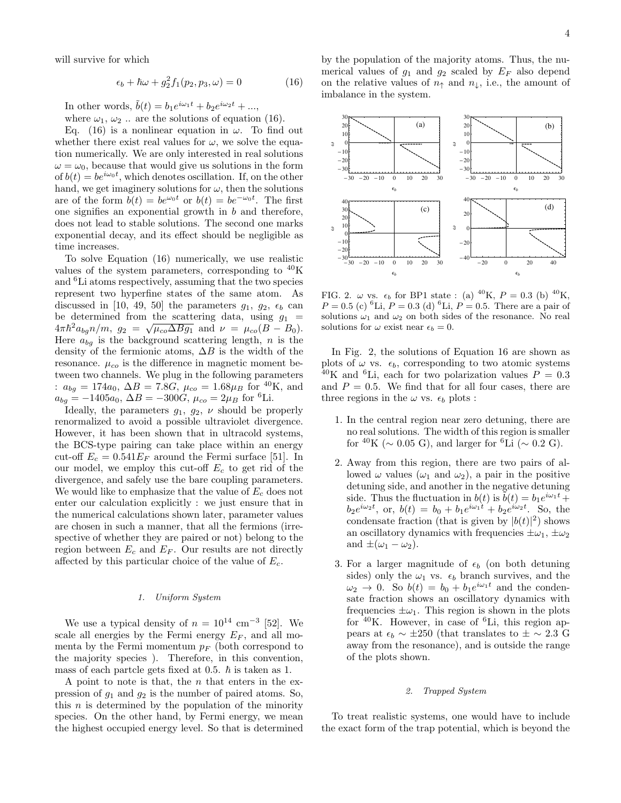will survive for which

$$
\epsilon_b + \hbar \omega + g_2^2 f_1(p_2, p_3, \omega) = 0 \tag{16}
$$

In other words,  $\tilde{b}(t) = b_1 e^{i\omega_1 t} + b_2 e^{i\omega_2 t} + ...,$ 

where  $\omega_1, \omega_2$ ... are the solutions of equation (16).

Eq. (16) is a nonlinear equation in  $\omega$ . To find out whether there exist real values for  $\omega$ , we solve the equation numerically. We are only interested in real solutions  $\omega = \omega_0$ , because that would give us solutions in the form of  $b(t) = be^{i\omega_0 t}$ , which denotes oscillation. If, on the other hand, we get imaginery solutions for  $\omega$ , then the solutions are of the form  $b(t) = be^{\omega_0 t}$  or  $b(t) = be^{-\omega_0 t}$ . The first one signifies an exponential growth in  $b$  and therefore, does not lead to stable solutions. The second one marks exponential decay, and its effect should be negligible as time increases.

To solve Equation (16) numerically, we use realistic values of the system parameters, corresponding to  ${}^{40}$ K and <sup>6</sup>Li atoms respectively, assuming that the two species represent two hyperfine states of the same atom. As discussed in [10, 49, 50] the parameters  $g_1$ ,  $g_2$ ,  $\epsilon_b$  can be determined from the scattering data, using  $g_1$  =  $4\pi\hbar^2 a_{bg}n/m$ ,  $g_2 = \sqrt{\mu_{co}\Delta Bg_1}$  and  $\nu = \mu_{co}(B - B_0)$ . Here  $a_{ba}$  is the background scattering length, n is the density of the fermionic atoms,  $\Delta B$  is the width of the resonance.  $\mu_{co}$  is the difference in magnetic moment between two channels. We plug in the following parameters :  $a_{bg} = 174a_0$ ,  $\Delta B = 7.8G$ ,  $\mu_{co} = 1.68\mu_B$  for <sup>40</sup>K, and  $a_{bg} = -1405a_0, \Delta B = -300G, \mu_{co} = 2\mu_B$  for <sup>6</sup>Li.

Ideally, the parameters  $g_1$ ,  $g_2$ ,  $\nu$  should be properly renormalized to avoid a possible ultraviolet divergence. However, it has been shown that in ultracold systems, the BCS-type pairing can take place within an energy cut-off  $E_c = 0.541 E_F$  around the Fermi surface [51]. In our model, we employ this cut-off  $E_c$  to get rid of the divergence, and safely use the bare coupling parameters. We would like to emphasize that the value of  $E_c$  does not enter our calculation explicitly : we just ensure that in the numerical calculations shown later, parameter values are chosen in such a manner, that all the fermions (irrespective of whether they are paired or not) belong to the region between  $E_c$  and  $E_F$ . Our results are not directly affected by this particular choice of the value of  $E_c$ .

## 1. Uniform System

We use a typical density of  $n = 10^{14}$  cm<sup>-3</sup> [52]. We scale all energies by the Fermi energy  $E_F$ , and all momenta by the Fermi momentum  $p_F$  (both correspond to the majority species ). Therefore, in this convention, mass of each partcle gets fixed at 0.5.  $\hbar$  is taken as 1.

A point to note is that, the  $n$  that enters in the expression of  $q_1$  and  $q_2$  is the number of paired atoms. So, this  $n$  is determined by the population of the minority species. On the other hand, by Fermi energy, we mean the highest occupied energy level. So that is determined

by the population of the majority atoms. Thus, the numerical values of  $g_1$  and  $g_2$  scaled by  $E_F$  also depend on the relative values of  $n_{\uparrow}$  and  $n_{\downarrow}$ , i.e., the amount of imbalance in the system.



FIG. 2.  $\omega$  vs.  $\epsilon_b$  for BP1 state : (a) <sup>40</sup>K,  $P = 0.3$  (b) <sup>40</sup>K,  $P = 0.5$  (c) <sup>6</sup>Li,  $P = 0.3$  (d) <sup>6</sup>Li,  $P = 0.5$ . There are a pair of solutions  $\omega_1$  and  $\omega_2$  on both sides of the resonance. No real solutions for  $\omega$  exist near  $\epsilon_b = 0$ .

In Fig. 2, the solutions of Equation 16 are shown as plots of  $\omega$  vs.  $\epsilon_b$ , corresponding to two atomic systems <sup>40</sup>K and <sup>6</sup>Li, each for two polarization values  $P = 0.3$ and  $P = 0.5$ . We find that for all four cases, there are three regions in the  $\omega$  vs.  $\epsilon_b$  plots :

- 1. In the central region near zero detuning, there are no real solutions. The width of this region is smaller for  $^{40}$ K ( $\sim$  0.05 G), and larger for  $^{6}$ Li ( $\sim$  0.2 G).
- 2. Away from this region, there are two pairs of allowed  $\omega$  values  $(\omega_1 \text{ and } \omega_2)$ , a pair in the positive detuning side, and another in the negative detuning side. Thus the fluctuation in  $b(t)$  is  $\tilde{b}(t) = b_1 e^{i\omega_1 t} +$  $b_2 e^{i\omega_2 t}$ , or,  $b(t) = b_0 + b_1 e^{i\omega_1 t} + b_2 e^{i\omega_2 t}$ . So, the condensate fraction (that is given by  $|b(t)|^2$ ) shows an oscillatory dynamics with frequencies  $\pm \omega_1$ ,  $\pm \omega_2$ and  $\pm(\omega_1-\omega_2)$ .
- 3. For a larger magnitude of  $\epsilon_b$  (on both detuning sides) only the  $\omega_1$  vs.  $\epsilon_b$  branch survives, and the  $\omega_2 \rightarrow 0$ . So  $b(t) = b_0 + b_1 e^{i\omega_1 t}$  and the condensate fraction shows an oscillatory dynamics with frequencies  $\pm \omega_1$ . This region is shown in the plots for  $^{40}$ K. However, in case of  $^{6}$ Li, this region appears at  $\epsilon_b \sim \pm 250$  (that translates to  $\pm \sim 2.3$  G away from the resonance), and is outside the range of the plots shown.

### 2. Trapped System

To treat realistic systems, one would have to include the exact form of the trap potential, which is beyond the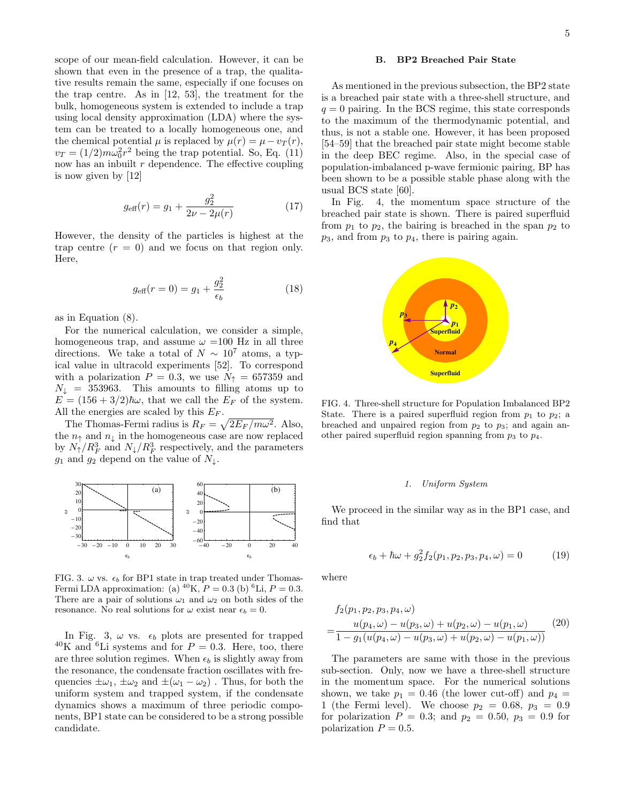scope of our mean-field calculation. However, it can be shown that even in the presence of a trap, the qualitative results remain the same, especially if one focuses on the trap centre. As in [12, 53], the treatment for the bulk, homogeneous system is extended to include a trap using local density approximation (LDA) where the system can be treated to a locally homogeneous one, and the chemical potential  $\mu$  is replaced by  $\mu(r) = \mu - v_T(r)$ ,  $v_T = (1/2) m \omega_0^2 r^2$  being the trap potential. So, Eq. (11) now has an inbuilt  $r$  dependence. The effective coupling is now given by [12]

$$
g_{\text{eff}}(r) = g_1 + \frac{g_2^2}{2\nu - 2\mu(r)}\tag{17}
$$

However, the density of the particles is highest at the trap centre  $(r = 0)$  and we focus on that region only. Here,

$$
g_{\text{eff}}(r=0) = g_1 + \frac{g_2^2}{\epsilon_b} \tag{18}
$$

as in Equation (8).

For the numerical calculation, we consider a simple, homogeneous trap, and assume  $\omega$  =100 Hz in all three directions. We take a total of  $N \sim 10^7$  atoms, a typical value in ultracold experiments [52]. To correspond with a polarization  $P = 0.3$ , we use  $N<sub>\uparrow</sub> = 657359$  and  $N_{\downarrow}$  = 353963. This amounts to filling atoms up to  $E = (156 + 3/2)\hbar\omega$ , that we call the  $E_F$  of the system. All the energies are scaled by this  $E_F$ .

The Thomas-Fermi radius is  $R_F = \sqrt{2E_F / m\omega^2}$ . Also, the  $n_{\uparrow}$  and  $n_{\downarrow}$  in the homogeneous case are now replaced by  $N_{\uparrow}/R_F^3$  and  $N_{\downarrow}/R_F^3$  respectively, and the parameters  $g_1$  and  $g_2$  depend on the value of  $N_\perp$ .



FIG. 3.  $\omega$  vs.  $\epsilon_b$  for BP1 state in trap treated under Thomas-Fermi LDA approximation: (a) <sup>40</sup>K,  $P = 0.3$  (b) <sup>6</sup>Li,  $P = 0.3$ . There are a pair of solutions  $\omega_1$  and  $\omega_2$  on both sides of the resonance. No real solutions for  $\omega$  exist near  $\epsilon_b = 0$ .

In Fig. 3,  $\omega$  vs.  $\epsilon_b$  plots are presented for trapped  $^{40}$ K and  $^{6}$ Li systems and for  $P = 0.3$ . Here, too, there are three solution regimes. When  $\epsilon_b$  is slightly away from the resonance, the condensate fraction oscillates with frequencies  $\pm \omega_1$ ,  $\pm \omega_2$  and  $\pm (\omega_1 - \omega_2)$ . Thus, for both the uniform system and trapped system, if the condensate dynamics shows a maximum of three periodic components, BP1 state can be considered to be a strong possible candidate.

## B. BP2 Breached Pair State

As mentioned in the previous subsection, the BP2 state is a breached pair state with a three-shell structure, and  $q = 0$  pairing. In the BCS regime, this state corresponds to the maximum of the thermodynamic potential, and thus, is not a stable one. However, it has been proposed [54–59] that the breached pair state might become stable in the deep BEC regime. Also, in the special case of population-imbalanced p-wave fermionic pairing, BP has been shown to be a possible stable phase along with the usual BCS state [60].

In Fig. 4, the momentum space structure of the breached pair state is shown. There is paired superfluid from  $p_1$  to  $p_2$ , the bairing is breached in the span  $p_2$  to  $p_3$ , and from  $p_3$  to  $p_4$ , there is pairing again.



FIG. 4. Three-shell structure for Population Imbalanced BP2 State. There is a paired superfluid region from  $p_1$  to  $p_2$ ; a breached and unpaired region from  $p_2$  to  $p_3$ ; and again another paired superfluid region spanning from  $p_3$  to  $p_4$ .

### 1. Uniform System

We proceed in the similar way as in the BP1 case, and find that

$$
\epsilon_b + \hbar \omega + g_2^2 f_2(p_1, p_2, p_3, p_4, \omega) = 0 \tag{19}
$$

where

$$
f_2(p_1, p_2, p_3, p_4, \omega)
$$
  
= 
$$
\frac{u(p_4, \omega) - u(p_3, \omega) + u(p_2, \omega) - u(p_1, \omega)}{1 - g_1(u(p_4, \omega) - u(p_3, \omega) + u(p_2, \omega) - u(p_1, \omega))}
$$
 (20)

The parameters are same with those in the previous sub-section. Only, now we have a three-shell structure in the momentum space. For the numerical solutions shown, we take  $p_1 = 0.46$  (the lower cut-off) and  $p_4 =$ 1 (the Fermi level). We choose  $p_2 = 0.68, p_3 = 0.9$ for polarization  $P = 0.3$ ; and  $p_2 = 0.50$ ,  $p_3 = 0.9$  for polarization  $P = 0.5$ .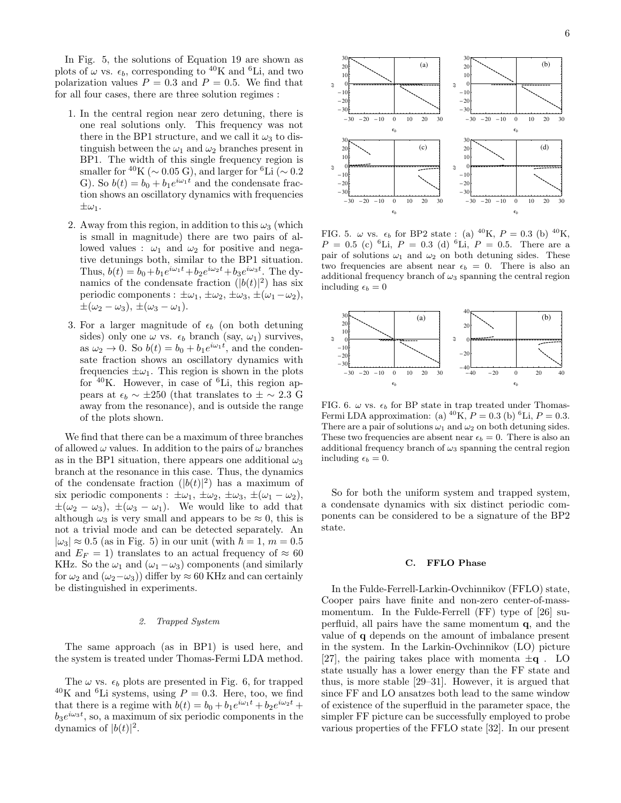In Fig. 5, the solutions of Equation 19 are shown as plots of  $\omega$  vs.  $\epsilon_b$ , corresponding to <sup>40</sup>K and <sup>6</sup>Li, and two polarization values  $P = 0.3$  and  $P = 0.5$ . We find that for all four cases, there are three solution regimes :

- 1. In the central region near zero detuning, there is one real solutions only. This frequency was not there in the BP1 structure, and we call it  $\omega_3$  to distinguish between the  $\omega_1$  and  $\omega_2$  branches present in BP1. The width of this single frequency region is smaller for  ${}^{40}\text{K}$  ( $\sim 0.05 \text{ G}$ ), and larger for  ${}^{6}\text{Li}$  ( $\sim 0.2$ G). So  $b(t) = b_0 + b_1 e^{i\omega_1 t}$  and the condensate fraction shows an oscillatory dynamics with frequencies  $\pm\omega_1$ .
- 2. Away from this region, in addition to this  $\omega_3$  (which is small in magnitude) there are two pairs of allowed values :  $\omega_1$  and  $\omega_2$  for positive and negative detunings both, similar to the BP1 situation. Thus,  $b(t) = b_0 + b_1 e^{i\omega_1 t} + b_2 e^{i\omega_2 t} + b_3 e^{i\omega_3 t}$ . The dynamics of the condensate fraction  $(|b(t)|^2)$  has six periodic components :  $\pm \omega_1$ ,  $\pm \omega_2$ ,  $\pm \omega_3$ ,  $\pm (\omega_1 - \omega_2)$ ,  $\pm(\omega_2-\omega_3), \pm(\omega_3-\omega_1).$
- 3. For a larger magnitude of  $\epsilon_b$  (on both detuning sides) only one  $\omega$  vs.  $\epsilon_b$  branch (say,  $\omega_1$ ) survives, as  $\omega_2 \to 0$ . So  $b(t) = b_0 + b_1 e^{i\omega_1 t}$ , and the condensate fraction shows an oscillatory dynamics with frequencies  $\pm \omega_1$ . This region is shown in the plots for  $^{40}$ K. However, in case of  $^{6}$ Li, this region appears at  $\epsilon_b \sim \pm 250$  (that translates to  $\pm \sim 2.3$  G away from the resonance), and is outside the range of the plots shown.

We find that there can be a maximum of three branches of allowed  $\omega$  values. In addition to the pairs of  $\omega$  branches as in the BP1 situation, there appears one additional  $\omega_3$ branch at the resonance in this case. Thus, the dynamics of the condensate fraction  $(|b(t)|^2)$  has a maximum of six periodic components :  $\pm \omega_1$ ,  $\pm \omega_2$ ,  $\pm \omega_3$ ,  $\pm (\omega_1 - \omega_2)$ ,  $\pm(\omega_2-\omega_3), \pm(\omega_3-\omega_1).$  We would like to add that although  $\omega_3$  is very small and appears to be  $\approx 0$ , this is not a trivial mode and can be detected separately. An  $|\omega_3| \approx 0.5$  (as in Fig. 5) in our unit (with  $\hbar = 1, m = 0.5$ and  $E_F = 1$ ) translates to an actual frequency of  $\approx 60$ KHz. So the  $\omega_1$  and  $(\omega_1 - \omega_3)$  components (and similarly for  $\omega_2$  and  $(\omega_2-\omega_3)$  differ by  $\approx 60$  KHz and can certainly be distinguished in experiments.

#### 2. Trapped System

The same approach (as in BP1) is used here, and the system is treated under Thomas-Fermi LDA method.

The  $\omega$  vs.  $\epsilon_b$  plots are presented in Fig. 6, for trapped <sup>40</sup>K and <sup>6</sup>Li systems, using  $P = 0.3$ . Here, too, we find that there is a regime with  $b(t) = b_0 + b_1 e^{i\omega_1 t} + b_2 e^{i\omega_2 t} +$  $b_3e^{i\omega_3t}$ , so, a maximum of six periodic components in the dynamics of  $|b(t)|^2$ .



FIG. 5.  $\omega$  vs.  $\epsilon_b$  for BP2 state : (a) <sup>40</sup>K,  $P = 0.3$  (b) <sup>40</sup>K,  $P = 0.5$  (c) <sup>6</sup>Li,  $P = 0.3$  (d) <sup>6</sup>Li,  $P = 0.5$ . There are a pair of solutions  $\omega_1$  and  $\omega_2$  on both detuning sides. These two frequencies are absent near  $\epsilon_b = 0$ . There is also an additional frequency branch of  $\omega_3$  spanning the central region including  $\epsilon_b = 0$ 



FIG. 6.  $\omega$  vs.  $\epsilon_b$  for BP state in trap treated under Thomas-Fermi LDA approximation: (a) <sup>40</sup>K,  $P = 0.3$  (b) <sup>6</sup>Li,  $P = 0.3$ . There are a pair of solutions  $\omega_1$  and  $\omega_2$  on both detuning sides. These two frequencies are absent near  $\epsilon_b = 0$ . There is also an additional frequency branch of  $\omega_3$  spanning the central region including  $\epsilon_b = 0$ .

So for both the uniform system and trapped system, a condensate dynamics with six distinct periodic components can be considered to be a signature of the BP2 state.

### C. FFLO Phase

In the Fulde-Ferrell-Larkin-Ovchinnikov (FFLO) state, Cooper pairs have finite and non-zero center-of-massmomentum. In the Fulde-Ferrell (FF) type of [26] superfluid, all pairs have the same momentum q, and the value of q depends on the amount of imbalance present in the system. In the Larkin-Ovchinnikov (LO) picture [27], the pairing takes place with momenta  $\pm \mathbf{q}$ . LO state usually has a lower energy than the FF state and thus, is more stable [29–31]. However, it is argued that since FF and LO ansatzes both lead to the same window of existence of the superfluid in the parameter space, the simpler FF picture can be successfully employed to probe various properties of the FFLO state [32]. In our present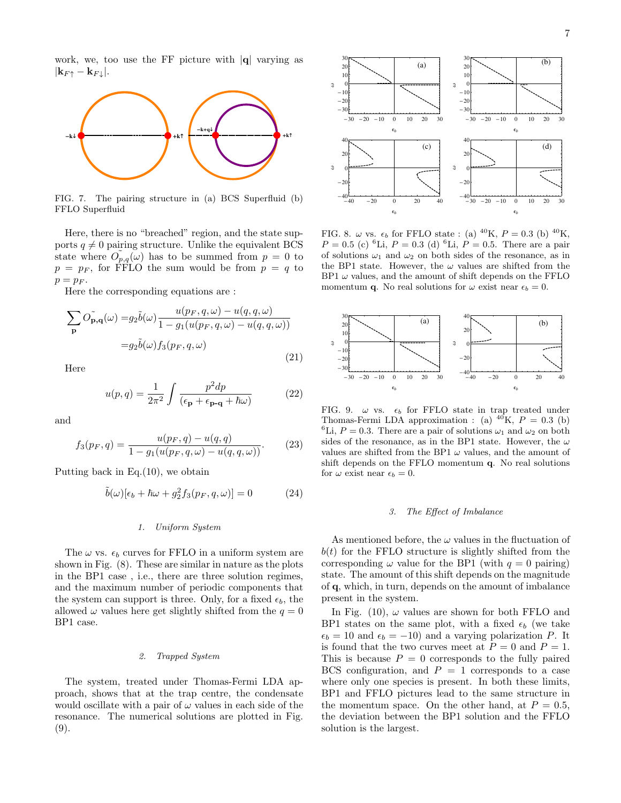work, we, too use the FF picture with  $|\mathbf{q}|$  varying as  $|\mathbf{k}_{F\uparrow} - \mathbf{k}_{F\downarrow}|.$ 



FIG. 7. The pairing structure in (a) BCS Superfluid (b) FFLO Superfluid

Here, there is no "breached" region, and the state supports  $q \neq 0$  pairing structure. Unlike the equivalent BCS state where  $\widetilde{O}_{p,q}(\omega)$  has to be summed from  $p = 0$  to  $p = p_F$ , for FFLO the sum would be from  $p = q$  to  $p = p_F$ .

Here the corresponding equations are :

$$
\sum_{\mathbf{p}} O_{\mathbf{p},\mathbf{q}}( \omega ) = g_2 \tilde{b}(\omega) \frac{u(p_F, q, \omega) - u(q, q, \omega)}{1 - g_1(u(p_F, q, \omega) - u(q, q, \omega))}
$$

$$
= g_2 \tilde{b}(\omega) f_3(p_F, q, \omega)
$$
(21)

Here

$$
u(p,q) = \frac{1}{2\pi^2} \int \frac{p^2 dp}{(\epsilon_{\mathbf{p}} + \epsilon_{\mathbf{p-q}} + \hbar\omega)} \tag{22}
$$

and

$$
f_3(p_F, q) = \frac{u(p_F, q) - u(q, q)}{1 - g_1(u(p_F, q, \omega) - u(q, q, \omega))}.
$$
 (23)

Putting back in Eq.(10), we obtain

$$
\tilde{b}(\omega)[\epsilon_b + \hbar\omega + g_2^2 f_3(p_F, q, \omega)] = 0 \tag{24}
$$

### 1. Uniform System

The  $\omega$  vs.  $\epsilon_b$  curves for FFLO in a uniform system are shown in Fig. (8). These are similar in nature as the plots in the BP1 case , i.e., there are three solution regimes, and the maximum number of periodic components that the system can support is three. Only, for a fixed  $\epsilon_b$ , the allowed  $\omega$  values here get slightly shifted from the  $q = 0$ BP1 case.

### 2. Trapped System

The system, treated under Thomas-Fermi LDA approach, shows that at the trap centre, the condensate would oscillate with a pair of  $\omega$  values in each side of the resonance. The numerical solutions are plotted in Fig. (9).



FIG. 8.  $\omega$  vs.  $\epsilon_b$  for FFLO state : (a) <sup>40</sup>K,  $P = 0.3$  (b) <sup>40</sup>K,  $P = 0.5$  (c) <sup>6</sup>Li,  $P = 0.3$  (d) <sup>6</sup>Li,  $P = 0.5$ . There are a pair of solutions  $\omega_1$  and  $\omega_2$  on both sides of the resonance, as in the BP1 state. However, the  $\omega$  values are shifted from the  $BP1 \omega$  values, and the amount of shift depends on the FFLO momentum **q**. No real solutions for  $\omega$  exist near  $\epsilon_b = 0$ .



FIG. 9.  $\omega$  vs.  $\epsilon_b$  for FFLO state in trap treated under Thomas-Fermi LDA approximation : (a) <sup>40</sup>K,  $P = 0.3$  (b) <sup>6</sup>Li,  $P = 0.3$ . There are a pair of solutions  $\omega_1$  and  $\omega_2$  on both sides of the resonance, as in the BP1 state. However, the  $\omega$ values are shifted from the BP1  $\omega$  values, and the amount of shift depends on the FFLO momentum q. No real solutions for  $\omega$  exist near  $\epsilon_b = 0$ .

## 3. The Effect of Imbalance

As mentioned before, the  $\omega$  values in the fluctuation of  $b(t)$  for the FFLO structure is slightly shifted from the corresponding  $\omega$  value for the BP1 (with  $q = 0$  pairing) state. The amount of this shift depends on the magnitude of q, which, in turn, depends on the amount of imbalance present in the system.

In Fig. (10),  $\omega$  values are shown for both FFLO and BP1 states on the same plot, with a fixed  $\epsilon_b$  (we take  $\epsilon_b = 10$  and  $\epsilon_b = -10$ ) and a varying polarization P. It is found that the two curves meet at  $P = 0$  and  $P = 1$ . This is because  $P = 0$  corresponds to the fully paired BCS configuration, and  $P = 1$  corresponds to a case where only one species is present. In both these limits, BP1 and FFLO pictures lead to the same structure in the momentum space. On the other hand, at  $P = 0.5$ , the deviation between the BP1 solution and the FFLO solution is the largest.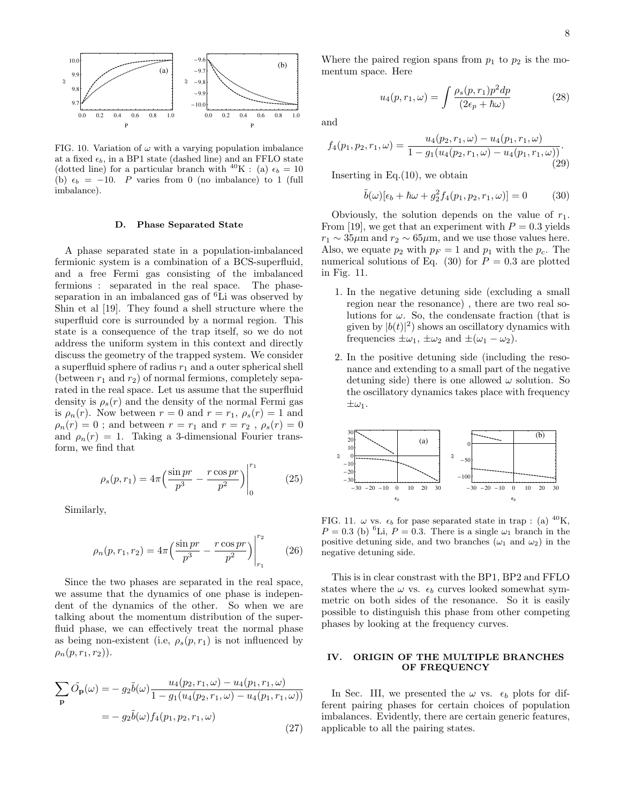

FIG. 10. Variation of  $\omega$  with a varying population imbalance at a fixed  $\epsilon_b$ , in a BP1 state (dashed line) and an FFLO state (dotted line) for a particular branch with  $^{40}\mathrm{K}$  : (a)  $\epsilon_b$  = 10 (b)  $\epsilon_b = -10$ . P varies from 0 (no imbalance) to 1 (full imbalance).

### D. Phase Separated State

A phase separated state in a population-imbalanced fermionic system is a combination of a BCS-superfluid, and a free Fermi gas consisting of the imbalanced fermions : separated in the real space. The phaseseparation in an imbalanced gas of <sup>6</sup>Li was observed by Shin et al [19]. They found a shell structure where the superfluid core is surrounded by a normal region. This state is a consequence of the trap itself, so we do not address the uniform system in this context and directly discuss the geometry of the trapped system. We consider a superfluid sphere of radius  $r_1$  and a outer spherical shell (between  $r_1$  and  $r_2$ ) of normal fermions, completely separated in the real space. Let us assume that the superfluid density is  $\rho_s(r)$  and the density of the normal Fermi gas is  $\rho_n(r)$ . Now between  $r = 0$  and  $r = r_1$ ,  $\rho_s(r) = 1$  and  $\rho_n(r) = 0$ ; and between  $r = r_1$  and  $r = r_2$ ,  $\rho_s(r) = 0$ and  $\rho_n(r) = 1$ . Taking a 3-dimensional Fourier transform, we find that

$$
\rho_s(p, r_1) = 4\pi \left(\frac{\sin pr}{p^3} - \frac{r \cos pr}{p^2}\right)\Big|_0^{r_1} \tag{25}
$$

Similarly,

$$
\rho_n(p, r_1, r_2) = 4\pi \left(\frac{\sin pr}{p^3} - \frac{r \cos pr}{p^2}\right)\Big|_{r_1}^{r_2} \tag{26}
$$

Since the two phases are separated in the real space, we assume that the dynamics of one phase is independent of the dynamics of the other. So when we are talking about the momentum distribution of the superfluid phase, we can effectively treat the normal phase as being non-existent (i.e,  $\rho_s(p,r_1)$  is not influenced by  $\rho_n(p,r_1,r_2)$ .

$$
\sum_{\mathbf{p}} \tilde{O}_{\mathbf{p}}(\omega) = -g_2 \tilde{b}(\omega) \frac{u_4(p_2, r_1, \omega) - u_4(p_1, r_1, \omega)}{1 - g_1(u_4(p_2, r_1, \omega) - u_4(p_1, r_1, \omega))}
$$

$$
= -g_2 \tilde{b}(\omega) f_4(p_1, p_2, r_1, \omega)
$$
(27)

Where the paired region spans from  $p_1$  to  $p_2$  is the momentum space. Here

$$
u_4(p, r_1, \omega) = \int \frac{\rho_s(p, r_1) p^2 dp}{(2\epsilon_p + \hbar \omega)} \tag{28}
$$

and

$$
f_4(p_1, p_2, r_1, \omega) = \frac{u_4(p_2, r_1, \omega) - u_4(p_1, r_1, \omega)}{1 - g_1(u_4(p_2, r_1, \omega) - u_4(p_1, r_1, \omega))}.
$$
\n(29)

Inserting in Eq. $(10)$ , we obtain

$$
\tilde{b}(\omega)[\epsilon_b + \hbar\omega + g_2^2 f_4(p_1, p_2, r_1, \omega)] = 0 \tag{30}
$$

Obviously, the solution depends on the value of  $r_1$ . From [19], we get that an experiment with  $P = 0.3$  yields  $r_1 \sim 35 \mu m$  and  $r_2 \sim 65 \mu m$ , and we use those values here. Also, we equate  $p_2$  with  $p_F = 1$  and  $p_1$  with the  $p_c$ . The numerical solutions of Eq. (30) for  $P = 0.3$  are plotted in Fig. 11.

- 1. In the negative detuning side (excluding a small region near the resonance) , there are two real solutions for  $\omega$ . So, the condensate fraction (that is given by  $|b(t)|^2$ ) shows an oscillatory dynamics with frequencies  $\pm \omega_1$ ,  $\pm \omega_2$  and  $\pm (\omega_1 - \omega_2)$ .
- 2. In the positive detuning side (including the resonance and extending to a small part of the negative detuning side) there is one allowed  $\omega$  solution. So the oscillatory dynamics takes place with frequency  $\pm\omega_1$ .



FIG. 11.  $\omega$  vs.  $\epsilon_b$  for pase separated state in trap : (a) <sup>40</sup>K,  $P = 0.3$  (b) <sup>6</sup>Li,  $P = 0.3$ . There is a single  $\omega_1$  branch in the positive detuning side, and two branches  $(\omega_1 \text{ and } \omega_2)$  in the negative detuning side.

This is in clear constrast with the BP1, BP2 and FFLO states where the  $\omega$  vs.  $\epsilon_b$  curves looked somewhat symmetric on both sides of the resonance. So it is easily possible to distinguish this phase from other competing phases by looking at the frequency curves.

## IV. ORIGIN OF THE MULTIPLE BRANCHES OF FREQUENCY

In Sec. III, we presented the  $\omega$  vs.  $\epsilon_b$  plots for different pairing phases for certain choices of population imbalances. Evidently, there are certain generic features, applicable to all the pairing states.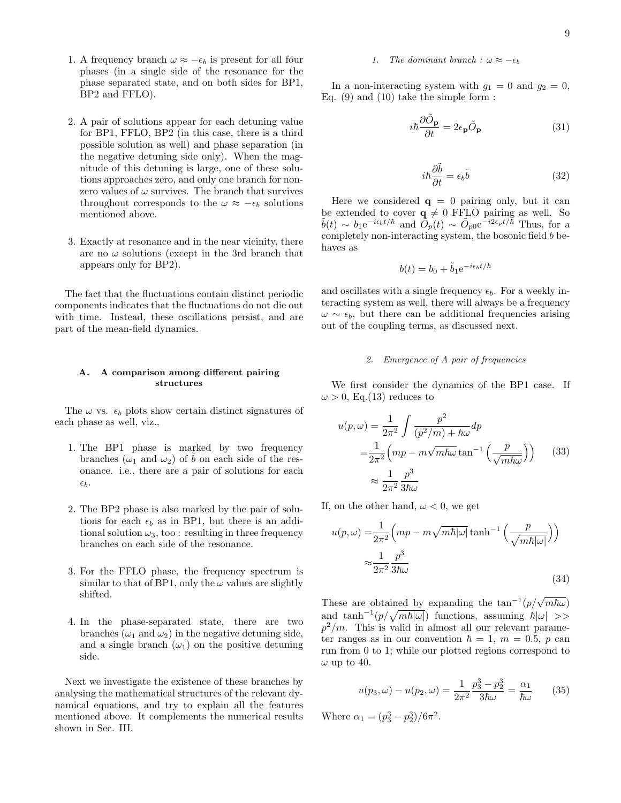- 1. A frequency branch  $\omega \approx -\epsilon_b$  is present for all four phases (in a single side of the resonance for the phase separated state, and on both sides for BP1, BP2 and FFLO).
- 2. A pair of solutions appear for each detuning value for BP1, FFLO, BP2 (in this case, there is a third possible solution as well) and phase separation (in the negative detuning side only). When the magnitude of this detuning is large, one of these solutions approaches zero, and only one branch for nonzero values of  $\omega$  survives. The branch that survives throughout corresponds to the  $\omega \approx -\epsilon_b$  solutions mentioned above.
- 3. Exactly at resonance and in the near vicinity, there are no  $\omega$  solutions (except in the 3rd branch that appears only for BP2).

The fact that the fluctuations contain distinct periodic components indicates that the fluctuations do not die out with time. Instead, these oscillations persist, and are part of the mean-field dynamics.

## A. A comparison among different pairing structures

The  $\omega$  vs.  $\epsilon_b$  plots show certain distinct signatures of each phase as well, viz.,

- 1. The BP1 phase is marked by two frequency branches  $(\omega_1 \text{ and } \omega_2)$  of b on each side of the resonance. i.e., there are a pair of solutions for each  $\epsilon_b$ .
- 2. The BP2 phase is also marked by the pair of solutions for each  $\epsilon_b$  as in BP1, but there is an additional solution  $\omega_3$ , too : resulting in three frequency branches on each side of the resonance.
- 3. For the FFLO phase, the frequency spectrum is similar to that of BP1, only the  $\omega$  values are slightly shifted.
- 4. In the phase-separated state, there are two branches  $(\omega_1 \text{ and } \omega_2)$  in the negative detuning side, and a single branch  $(\omega_1)$  on the positive detuning side.

Next we investigate the existence of these branches by analysing the mathematical structures of the relevant dynamical equations, and try to explain all the features mentioned above. It complements the numerical results shown in Sec. III.

### 1. The dominant branch :  $\omega \approx -\epsilon_b$

In a non-interacting system with  $g_1 = 0$  and  $g_2 = 0$ , Eq.  $(9)$  and  $(10)$  take the simple form :

$$
i\hbar \frac{\partial \tilde{O}_{\mathbf{p}}}{\partial t} = 2\epsilon_{\mathbf{p}} \tilde{O}_{\mathbf{p}} \tag{31}
$$

$$
i\hbar \frac{\partial \tilde{b}}{\partial t} = \epsilon_b \tilde{b} \tag{32}
$$

Here we considered  $\mathbf{q} = 0$  pairing only, but it can be extended to cover  $q \neq 0$  FFLO pairing as well. So  $\tilde{b}(t) \sim b_1 e^{-i\epsilon_b t/\hbar}$  and  $\tilde{O}_p(t) \sim \tilde{O}_{p0} e^{-i2\epsilon_p t/\hbar}$  Thus, for a completely non-interacting system, the bosonic field b behaves as

$$
b(t) = b_0 + \tilde{b}_1 e^{-i\epsilon_b t/\hbar}
$$

and oscillates with a single frequency  $\epsilon_b$ . For a weekly interacting system as well, there will always be a frequency  $\omega \sim \epsilon_b$ , but there can be additional frequencies arising out of the coupling terms, as discussed next.

#### 2. Emergence of A pair of frequencies

We first consider the dynamics of the BP1 case. If  $\omega > 0$ , Eq. (13) reduces to

$$
u(p,\omega) = \frac{1}{2\pi^2} \int \frac{p^2}{(p^2/m) + \hbar\omega} dp
$$
  
=  $\frac{1}{2\pi^2} \left( mp - m\sqrt{m\hbar\omega} \tan^{-1} \left( \frac{p}{\sqrt{m\hbar\omega}} \right) \right)$  (33)  
 $\approx \frac{1}{2\pi^2} \frac{p^3}{3\hbar\omega}$ 

If, on the other hand,  $\omega < 0$ , we get

$$
u(p,\omega) = \frac{1}{2\pi^2} \left( mp - m\sqrt{m\hbar|\omega|} \tanh^{-1} \left( \frac{p}{\sqrt{m\hbar|\omega|}} \right) \right)
$$

$$
\approx \frac{1}{2\pi^2} \frac{p^3}{3\hbar\omega}
$$
(34)

These are obtained by expanding the  $\tan^{-1}(p/\sqrt{m\hbar\omega})$ and  $\tanh^{-1}(p/\sqrt{m\hbar|\omega|})$  functions, assuming  $\hbar|\omega| >>$  $p^2/m$ . This is valid in almost all our relevant parameter ranges as in our convention  $\hbar = 1, m = 0.5, p$  can run from 0 to 1; while our plotted regions correspond to  $\omega$  up to 40.

$$
u(p_3, \omega) - u(p_2, \omega) = \frac{1}{2\pi^2} \frac{p_3^3 - p_2^3}{3\hbar\omega} = \frac{\alpha_1}{\hbar\omega} \qquad (35)
$$

Where  $\alpha_1 = (p_3^3 - p_2^3)/6\pi^2$ .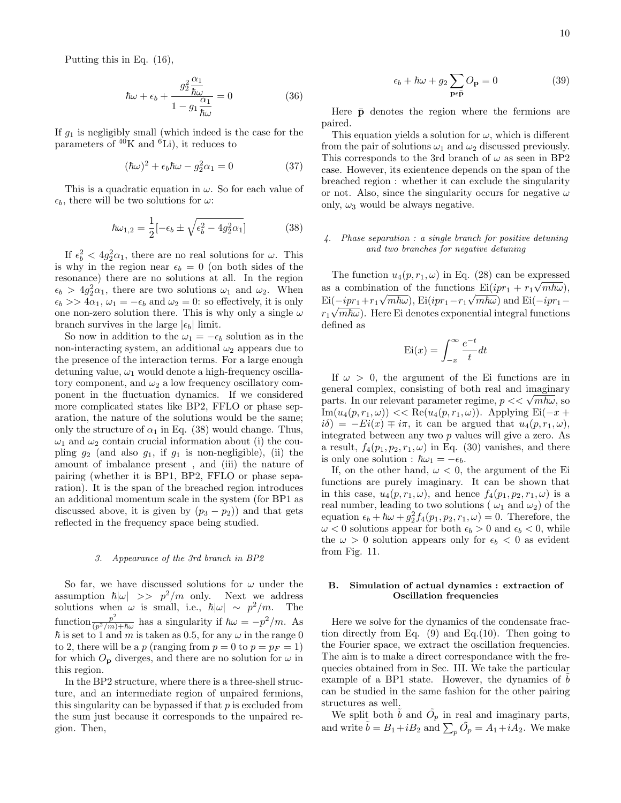Putting this in Eq. (16),

$$
\hbar\omega + \epsilon_b + \frac{g_2^2 \frac{\alpha_1}{\hbar\omega}}{1 - g_1 \frac{\alpha_1}{\hbar\omega}} = 0
$$
 (36)

If  $g_1$  is negligibly small (which indeed is the case for the parameters of  ${}^{40}$ K and  ${}^{6}$ Li), it reduces to

$$
(\hbar\omega)^2 + \epsilon_b \hbar\omega - g_2^2 \alpha_1 = 0 \tag{37}
$$

This is a quadratic equation in  $\omega$ . So for each value of  $\epsilon_b$ , there will be two solutions for  $\omega$ :

$$
\hbar\omega_{1,2} = \frac{1}{2}[-\epsilon_b \pm \sqrt{\epsilon_b^2 - 4g_2^2\alpha_1}]
$$
\n(38)

If  $\epsilon_b^2 < 4g_2^2\alpha_1$ , there are no real solutions for  $\omega$ . This is why in the region near  $\epsilon_b = 0$  (on both sides of the resonance) there are no solutions at all. In the region  $\epsilon_b > 4g_2^2\alpha_1$ , there are two solutions  $\omega_1$  and  $\omega_2$ . When  $\epsilon_b >> 4\alpha_1, \omega_1 = -\epsilon_b$  and  $\omega_2 = 0$ : so effectively, it is only one non-zero solution there. This is why only a single  $\omega$ branch survives in the large  $|\epsilon_b|$  limit.

So now in addition to the  $\omega_1 = -\epsilon_b$  solution as in the non-interacting system, an additional  $\omega_2$  appears due to the presence of the interaction terms. For a large enough detuning value,  $\omega_1$  would denote a high-frequency oscillatory component, and  $\omega_2$  a low frequency oscillatory component in the fluctuation dynamics. If we considered more complicated states like BP2, FFLO or phase separation, the nature of the solutions would be the same; only the structure of  $\alpha_1$  in Eq. (38) would change. Thus,  $\omega_1$  and  $\omega_2$  contain crucial information about (i) the coupling  $g_2$  (and also  $g_1$ , if  $g_1$  is non-negligible), (ii) the amount of imbalance present , and (iii) the nature of pairing (whether it is BP1, BP2, FFLO or phase separation). It is the span of the breached region introduces an additional momentum scale in the system (for BP1 as discussed above, it is given by  $(p_3 - p_2)$  and that gets reflected in the frequency space being studied.

#### 3. Appearance of the 3rd branch in BP2

So far, we have discussed solutions for  $\omega$  under the assumption  $\hbar |\omega| \gg p^2/m$  only. Next we address solutions when  $\omega$  is small, i.e.,  $\hbar |\omega| \sim p^2/m$ . The function  $\frac{p^2}{(p^2/m)}$  $\frac{p^2}{(p^2/m)+\hbar\omega}$  has a singularity if  $\hbar\omega = -p^2/m$ . As  $\hbar$  is set to 1 and m is taken as 0.5, for any  $\omega$  in the range 0 to 2, there will be a p (ranging from  $p = 0$  to  $p = p_F = 1$ ) for which  $O_{\mathbf{p}}$  diverges, and there are no solution for  $\omega$  in this region.

In the BP2 structure, where there is a three-shell structure, and an intermediate region of unpaired fermions, this singularity can be bypassed if that  $p$  is excluded from the sum just because it corresponds to the unpaired region. Then,

$$
\epsilon_b + \hbar \omega + g_2 \sum_{\mathbf{p} \in \bar{\mathbf{p}}} O_{\mathbf{p}} = 0 \tag{39}
$$

Here  $\bar{p}$  denotes the region where the fermions are paired.

This equation yields a solution for  $\omega$ , which is different from the pair of solutions  $\omega_1$  and  $\omega_2$  discussed previously. This corresponds to the 3rd branch of  $\omega$  as seen in BP2 case. However, its exientence depends on the span of the breached region : whether it can exclude the singularity or not. Also, since the singularity occurs for negative  $\omega$ only,  $\omega_3$  would be always negative.

## 4. Phase separation : a single branch for positive detuning and two branches for negative detuning

The function  $u_4(p, r_1, \omega)$  in Eq. (28) can be expressed as a combination of the functions  $\text{Ei}(ipr_1 + r_1\sqrt{m\hbar\omega})$ , Ei $\left(-ipr_1+r_1\sqrt{m\hbar\omega}\right)$ , Ei $(ipr_1-r_1\sqrt{m\hbar\omega}$  and Ei $(-ipr_1-\n$  $r_1\sqrt{m\hbar\omega}$ . Here Ei denotes exponential integral functions defined as

$$
\operatorname{Ei}(x) = \int_{-x}^{\infty} \frac{e^{-t}}{t} dt
$$

If  $\omega > 0$ , the argument of the Ei functions are in general complex, consisting of both real and imaginary parts. In our relevant parameter regime,  $p \ll \sqrt{m\hbar\omega}$ , so  $\text{Im}(u_4(p, r_1, \omega)) << \text{Re}(u_4(p, r_1, \omega))$ . Applying Ei(-x+  $i\delta$ ) =  $-Ei(x) \mp i\pi$ , it can be argued that  $u_4(p, r_1, \omega)$ , integrated between any two p values will give a zero. As a result,  $f_4(p_1, p_2, r_1, \omega)$  in Eq. (30) vanishes, and there is only one solution :  $\hbar\omega_1 = -\epsilon_b$ .

If, on the other hand,  $\omega < 0$ , the argument of the Ei functions are purely imaginary. It can be shown that in this case,  $u_4(p, r_1, \omega)$ , and hence  $f_4(p_1, p_2, r_1, \omega)$  is a real number, leading to two solutions ( $\omega_1$  and  $\omega_2$ ) of the equation  $\epsilon_b + \hbar \omega + g_2^2 f_4(p_1, p_2, r_1, \omega) = 0$ . Therefore, the  $\omega$  < 0 solutions appear for both  $\epsilon_b > 0$  and  $\epsilon_b < 0$ , while the  $\omega > 0$  solution appears only for  $\epsilon_b < 0$  as evident from Fig. 11.

### B. Simulation of actual dynamics : extraction of Oscillation frequencies

Here we solve for the dynamics of the condensate fraction directly from Eq.  $(9)$  and Eq. $(10)$ . Then going to the Fourier space, we extract the oscillation frequencies. The aim is to make a direct correspondance with the frequecies obtained from in Sec. III. We take the particular example of a BP1 state. However, the dynamics of  $\ddot{b}$ can be studied in the same fashion for the other pairing structures as well.

We split both  $\tilde{b}$  and  $\tilde{O_p}$  in real and imaginary parts, and write  $\tilde{b} = B_1 + iB_2$  and  $\sum_p \tilde{O_p} = A_1 + iA_2$ . We make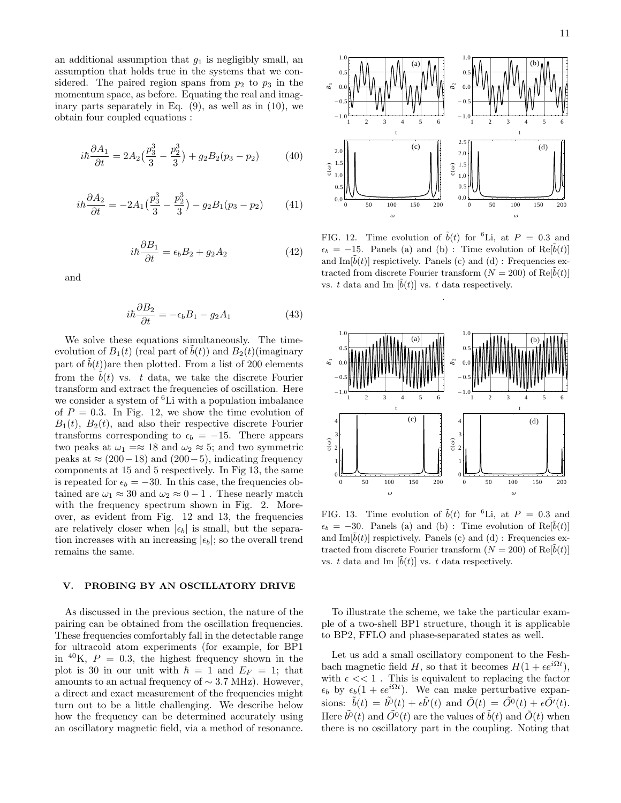an additional assumption that  $g_1$  is negligibly small, an assumption that holds true in the systems that we considered. The paired region spans from  $p_2$  to  $p_3$  in the momentum space, as before. Equating the real and imaginary parts separately in Eq.  $(9)$ , as well as in  $(10)$ , we obtain four coupled equations :

$$
i\hbar \frac{\partial A_1}{\partial t} = 2A_2 \left(\frac{p_3^3}{3} - \frac{p_2^3}{3}\right) + g_2 B_2 (p_3 - p_2) \tag{40}
$$

$$
i\hbar \frac{\partial A_2}{\partial t} = -2A_1 \left(\frac{p_3^3}{3} - \frac{p_2^3}{3}\right) - g_2 B_1 (p_3 - p_2) \tag{41}
$$

$$
i\hbar \frac{\partial B_1}{\partial t} = \epsilon_b B_2 + g_2 A_2 \tag{42}
$$

and

$$
i\hbar \frac{\partial B_2}{\partial t} = -\epsilon_b B_1 - g_2 A_1 \tag{43}
$$

We solve these equations simultaneously. The timeevolution of  $B_1(t)$  (real part of  $b(t)$ ) and  $B_2(t)$ (imaginary part of  $\tilde{b}(t)$ )are then plotted. From a list of 200 elements from the  $b(t)$  vs. t data, we take the discrete Fourier transform and extract the frequencies of oscillation. Here we consider a system of <sup>6</sup>Li with a population imbalance of  $P = 0.3$ . In Fig. 12, we show the time evolution of  $B_1(t)$ ,  $B_2(t)$ , and also their respective discrete Fourier transforms corresponding to  $\epsilon_b = -15$ . There appears two peaks at  $\omega_1 = \approx 18$  and  $\omega_2 \approx 5$ ; and two symmetric peaks at  $\approx$  (200−18) and (200−5), indicating frequency components at 15 and 5 respectively. In Fig 13, the same is repeated for  $\epsilon_b = -30$ . In this case, the frequencies obtained are  $\omega_1 \approx 30$  and  $\omega_2 \approx 0 - 1$ . These nearly match with the frequency spectrum shown in Fig. 2. Moreover, as evident from Fig. 12 and 13, the frequencies are relatively closer when  $|\epsilon_b|$  is small, but the separation increases with an increasing  $|\epsilon_b|$ ; so the overall trend remains the same.

## V. PROBING BY AN OSCILLATORY DRIVE

As discussed in the previous section, the nature of the pairing can be obtained from the oscillation frequencies. These frequencies comfortably fall in the detectable range for ultracold atom experiments (for example, for BP1 in  $^{40}$ K,  $P = 0.3$ , the highest frequency shown in the plot is 30 in our unit with  $\hbar = 1$  and  $E_F = 1$ ; that amounts to an actual frequency of  $\sim$  3.7 MHz). However, a direct and exact measurement of the frequencies might turn out to be a little challenging. We describe below how the frequency can be determined accurately using an oscillatory magnetic field, via a method of resonance.



FIG. 12. Time evolution of  $\tilde{b}(t)$  for <sup>6</sup>Li, at  $P = 0.3$  and  $\epsilon_b = -15$ . Panels (a) and (b) : Time evolution of Re[ $\tilde{b}(t)$ ] and  $\text{Im}[\tilde{b}(t)]$  respictively. Panels (c) and (d) : Frequencies extracted from discrete Fourier transform  $(N = 200)$  of  $\text{Re}[\tilde{b}(t)]$ vs. t data and Im  $[\tilde{b}(t)]$  vs. t data respectively.

.



FIG. 13. Time evolution of  $\tilde{b}(t)$  for <sup>6</sup>Li, at  $P = 0.3$  and  $\epsilon_b = -30$ . Panels (a) and (b) : Time evolution of Re[b(t)] and Im $[\tilde{b}(t)]$  respictively. Panels (c) and (d) : Frequencies extracted from discrete Fourier transform  $(N = 200)$  of  $\text{Re}[\tilde{b}(t)]$ vs. t data and Im  $[\tilde{b}(t)]$  vs. t data respectively.

To illustrate the scheme, we take the particular example of a two-shell BP1 structure, though it is applicable to BP2, FFLO and phase-separated states as well.

Let us add a small oscillatory component to the Feshbach magnetic field H, so that it becomes  $H(1 + \epsilon e^{i\Omega t}),$ with  $\epsilon \ll 1$ . This is equivalent to replacing the factor  $\epsilon_b$  by  $\epsilon_b(1 + \epsilon e^{i\Omega t})$ . We can make perturbative expansions:  $\tilde{b}(t) = \tilde{b}^0(t) + \epsilon \tilde{b}'(t)$  and  $\tilde{O}(t) = \tilde{O}^0(t) + \epsilon \tilde{O}'(t)$ . Here  $\tilde{b}^0(t)$  and  $\tilde{O}^0(t)$  are the values of  $\tilde{b}(t)$  and  $\tilde{O}(t)$  when there is no oscillatory part in the coupling. Noting that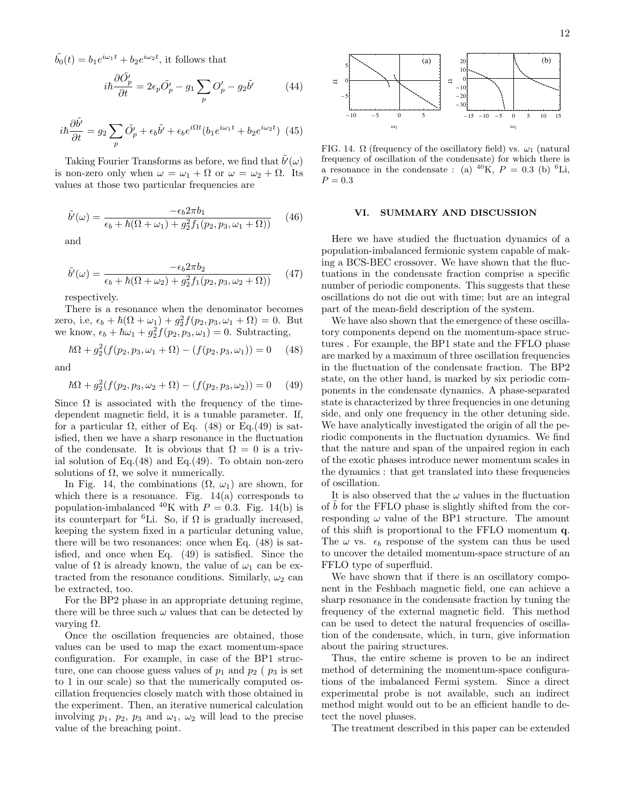$\tilde{b}_0(t) = b_1 e^{i\omega_1 t} + b_2 e^{i\omega_2 t}$ , it follows that

$$
i\hbar \frac{\partial \tilde{O'_p}}{\partial t} = 2\epsilon_p \tilde{O'_p} - g_1 \sum_p O'_p - g_2 \tilde{b'}
$$
 (44)

$$
i\hbar \frac{\partial \tilde{b'}}{\partial t} = g_2 \sum_p \tilde{O'_p} + \epsilon_b \tilde{b'} + \epsilon_b e^{i\Omega t} (b_1 e^{i\omega_1 t} + b_2 e^{i\omega_2 t})
$$
 (45)

Taking Fourier Transforms as before, we find that  $\tilde{b}^{\prime}(\omega)$ is non-zero only when  $\omega = \omega_1 + \Omega$  or  $\omega = \omega_2 + \Omega$ . Its values at those two particular frequencies are

$$
\tilde{b}^{\prime}(\omega) = \frac{-\epsilon_b 2\pi b_1}{\epsilon_b + \hbar(\Omega + \omega_1) + g_2^2 f_1(p_2, p_3, \omega_1 + \Omega)} \tag{46}
$$

and

$$
\tilde{b}^{\prime}(\omega) = \frac{-\epsilon_b 2\pi b_2}{\epsilon_b + \hbar(\Omega + \omega_2) + g_2^2 f_1(p_2, p_3, \omega_2 + \Omega)} \tag{47}
$$

respectively.

There is a resonance when the denominator becomes zero, i.e,  $\epsilon_b + \hbar(\Omega + \omega_1) + g_2^2 f(p_2, p_3, \omega_1 + \Omega) = 0$ . But we know,  $\epsilon_b + \hbar \omega_1 + g_2^2 f(p_2, p_3, \omega_1) = 0$ . Subtracting,

$$
\hbar\Omega + g_2^2(f(p_2, p_3, \omega_1 + \Omega) - (f(p_2, p_3, \omega_1)) = 0 \quad (48)
$$

and

$$
\hbar\Omega + g_2^2(f(p_2, p_3, \omega_2 + \Omega) - (f(p_2, p_3, \omega_2)) = 0 \quad (49)
$$

Since  $\Omega$  is associated with the frequency of the timedependent magnetic field, it is a tunable parameter. If, for a particular  $\Omega$ , either of Eq. (48) or Eq.(49) is satisfied, then we have a sharp resonance in the fluctuation of the condensate. It is obvious that  $\Omega = 0$  is a trivial solution of Eq. $(48)$  and Eq. $(49)$ . To obtain non-zero solutions of  $\Omega$ , we solve it numerically.

In Fig. 14, the combinations  $(\Omega, \omega_1)$  are shown, for which there is a resonance. Fig.  $14(a)$  corresponds to population-imbalanced <sup>40</sup>K with  $P = 0.3$ . Fig. 14(b) is its counterpart for <sup>6</sup>Li. So, if  $\Omega$  is gradually increased, keeping the system fixed in a particular detuning value, there will be two resonances: once when Eq. (48) is satisfied, and once when Eq. (49) is satisfied. Since the value of  $\Omega$  is already known, the value of  $\omega_1$  can be extracted from the resonance conditions. Similarly,  $\omega_2$  can be extracted, too.

For the BP2 phase in an appropriate detuning regime, there will be three such  $\omega$  values that can be detected by varying  $\Omega$ .

Once the oscillation frequencies are obtained, those values can be used to map the exact momentum-space configuration. For example, in case of the BP1 structure, one can choose guess values of  $p_1$  and  $p_2$  (  $p_3$  is set to 1 in our scale) so that the numerically computed oscillation frequencies closely match with those obtained in the experiment. Then, an iterative numerical calculation involving  $p_1$ ,  $p_2$ ,  $p_3$  and  $\omega_1$ ,  $\omega_2$  will lead to the precise value of the breaching point.



FIG. 14.  $\Omega$  (frequency of the oscillatory field) vs.  $\omega_1$  (natural frequency of oscillation of the condensate) for which there is a resonance in the condensate : (a) <sup>40</sup>K,  $P = 0.3$  (b) <sup>6</sup>Li,  $P = 0.3$ 

## VI. SUMMARY AND DISCUSSION

Here we have studied the fluctuation dynamics of a population-imbalanced fermionic system capable of making a BCS-BEC crossover. We have shown that the fluctuations in the condensate fraction comprise a specific number of periodic components. This suggests that these oscillations do not die out with time; but are an integral part of the mean-field description of the system.

We have also shown that the emergence of these oscillatory components depend on the momentum-space structures . For example, the BP1 state and the FFLO phase are marked by a maximum of three oscillation frequencies in the fluctuation of the condensate fraction. The BP2 state, on the other hand, is marked by six periodic components in the condensate dynamics. A phase-separated state is characterized by three frequencies in one detuning side, and only one frequency in the other detuning side. We have analytically investigated the origin of all the periodic components in the fluctuation dynamics. We find that the nature and span of the unpaired region in each of the exotic phases introduce newer momentum scales in the dynamics : that get translated into these frequencies of oscillation.

It is also observed that the  $\omega$  values in the fluctuation of  $b$  for the FFLO phase is slightly shifted from the corresponding  $\omega$  value of the BP1 structure. The amount of this shift is proportional to the FFLO momentum q. The  $\omega$  vs.  $\epsilon_b$  response of the system can thus be used to uncover the detailed momentum-space structure of an FFLO type of superfluid.

We have shown that if there is an oscillatory component in the Feshbach magnetic field, one can achieve a sharp resonance in the condensate fraction by tuning the frequency of the external magnetic field. This method can be used to detect the natural frequencies of oscillation of the condensate, which, in turn, give information about the pairing structures.

Thus, the entire scheme is proven to be an indirect method of determining the momentum-space configurations of the imbalanced Fermi system. Since a direct experimental probe is not available, such an indirect method might would out to be an efficient handle to detect the novel phases.

The treatment described in this paper can be extended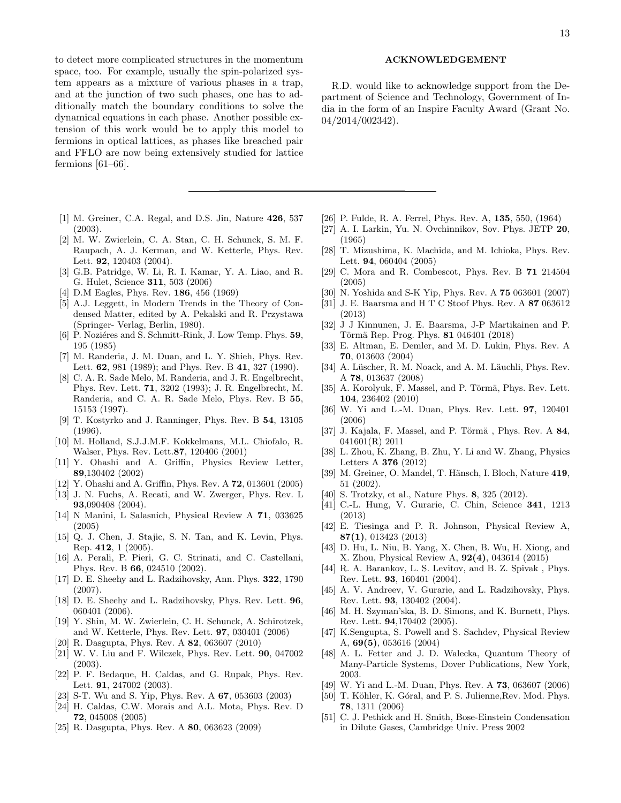to detect more complicated structures in the momentum space, too. For example, usually the spin-polarized system appears as a mixture of various phases in a trap, and at the junction of two such phases, one has to additionally match the boundary conditions to solve the dynamical equations in each phase. Another possible extension of this work would be to apply this model to fermions in optical lattices, as phases like breached pair and FFLO are now being extensively studied for lattice fermions [61–66].

- [1] M. Greiner, C.A. Regal, and D.S. Jin, Nature 426, 537 (2003).
- [2] M. W. Zwierlein, C. A. Stan, C. H. Schunck, S. M. F. Raupach, A. J. Kerman, and W. Ketterle, Phys. Rev. Lett. 92, 120403 (2004).
- [3] G.B. Patridge, W. Li, R. I. Kamar, Y. A. Liao, and R. G. Hulet, Science 311, 503 (2006)
- [4] D.M Eagles, Phys. Rev. 186, 456 (1969)
- [5] A.J. Leggett, in Modern Trends in the Theory of Condensed Matter, edited by A. Pekalski and R. Przystawa (Springer- Verlag, Berlin, 1980).
- [6] P. Noziéres and S. Schmitt-Rink, J. Low Temp. Phys. 59, 195 (1985)
- [7] M. Randeria, J. M. Duan, and L. Y. Shieh, Phys. Rev. Lett. 62, 981 (1989); and Phys. Rev. B 41, 327 (1990).
- [8] C. A. R. Sade Melo, M. Randeria, and J. R. Engelbrecht, Phys. Rev. Lett. 71, 3202 (1993); J. R. Engelbrecht, M. Randeria, and C. A. R. Sade Melo, Phys. Rev. B 55, 15153 (1997).
- [9] T. Kostyrko and J. Ranninger, Phys. Rev. B 54, 13105 (1996).
- [10] M. Holland, S.J.J.M.F. Kokkelmans, M.L. Chiofalo, R. Walser, Phys. Rev. Lett.87, 120406 (2001)
- [11] Y. Ohashi and A. Griffin, Physics Review Letter, 89,130402 (2002)
- [12] Y. Ohashi and A. Griffin, Phys. Rev. A 72, 013601 (2005)
- [13] J. N. Fuchs, A. Recati, and W. Zwerger, Phys. Rev. L 93,090408 (2004).
- [14] N Manini, L Salasnich, Physical Review A 71, 033625 (2005)
- [15] Q. J. Chen, J. Stajic, S. N. Tan, and K. Levin, Phys. Rep. 412, 1 (2005).
- [16] A. Perali, P. Pieri, G. C. Strinati, and C. Castellani, Phys. Rev. B 66, 024510 (2002).
- [17] D. E. Sheehy and L. Radzihovsky, Ann. Phys. 322, 1790 (2007).
- [18] D. E. Sheehy and L. Radzihovsky, Phys. Rev. Lett. **96**, 060401 (2006).
- [19] Y. Shin, M. W. Zwierlein, C. H. Schunck, A. Schirotzek, and W. Ketterle, Phys. Rev. Lett. 97, 030401 (2006)
- [20] R. Dasgupta, Phys. Rev. A 82, 063607 (2010)
- [21] W. V. Liu and F. Wilczek, Phys. Rev. Lett. 90, 047002 (2003).
- [22] P. F. Bedaque, H. Caldas, and G. Rupak, Phys. Rev. Lett. 91, 247002 (2003).
- [23] S-T. Wu and S. Yip, Phys. Rev. A 67, 053603 (2003)
- [24] H. Caldas, C.W. Morais and A.L. Mota, Phys. Rev. D 72, 045008 (2005)
- [25] R. Dasgupta, Phys. Rev. A 80, 063623 (2009)

### ACKNOWLEDGEMENT

R.D. would like to acknowledge support from the Department of Science and Technology, Government of India in the form of an Inspire Faculty Award (Grant No. 04/2014/002342).

- [26] P. Fulde, R. A. Ferrel, Phys. Rev. A, 135, 550, (1964)
- [27] A. I. Larkin, Yu. N. Ovchinnikov, Sov. Phys. JETP 20, (1965)
- [28] T. Mizushima, K. Machida, and M. Ichioka, Phys. Rev. Lett. 94, 060404 (2005)
- [29] C. Mora and R. Combescot, Phys. Rev. B 71 214504 (2005)
- [30] N. Yoshida and S-K Yip, Phys. Rev. A **75** 063601 (2007)
- [31] J. E. Baarsma and H T C Stoof Phys. Rev. A 87 063612 (2013)
- [32] J J Kinnunen, J. E. Baarsma, J-P Martikainen and P. Törmä Rep. Prog. Phys. 81 046401 (2018)
- [33] E. Altman, E. Demler, and M. D. Lukin, Phys. Rev. A 70, 013603 (2004)
- [34] A. Lüscher, R. M. Noack, and A. M. Läuchli, Phys. Rev. A 78, 013637 (2008)
- [35] A. Korolyuk, F. Massel, and P. Törmä, Phys. Rev. Lett. 104, 236402 (2010)
- [36] W. Yi and L.-M. Duan, Phys. Rev. Lett. 97, 120401 (2006)
- [37] J. Kajala, F. Massel, and P. Törmä, Phys. Rev. A  $84$ , 041601(R) 2011
- [38] L. Zhou, K. Zhang, B. Zhu, Y. Li and W. Zhang, Physics Letters A 376 (2012)
- [39] M. Greiner, O. Mandel, T. Hänsch, I. Bloch, Nature 419, 51 (2002).
- [40] S. Trotzky, et al., Nature Phys. **8**, 325 (2012).
- [41] C.-L. Hung, V. Gurarie, C. Chin, Science 341, 1213 (2013)
- [42] E. Tiesinga and P. R. Johnson, Physical Review A, 87(1), 013423 (2013)
- [43] D. Hu, L. Niu, B. Yang, X. Chen, B. Wu, H. Xiong, and X. Zhou, Physical Review A, 92(4), 043614 (2015)
- [44] R. A. Barankov, L. S. Levitov, and B. Z. Spivak , Phys. Rev. Lett. 93, 160401 (2004).
- [45] A. V. Andreev, V. Gurarie, and L. Radzihovsky, Phys. Rev. Lett. 93, 130402 (2004).
- [46] M. H. Szyman'ska, B. D. Simons, and K. Burnett, Phys. Rev. Lett. 94,170402 (2005).
- [47] K.Sengupta, S. Powell and S. Sachdev, Physical Review A, 69(5), 053616 (2004)
- [48] A. L. Fetter and J. D. Walecka, Quantum Theory of Many-Particle Systems, Dover Publications, New York, 2003.
- [49] W. Yi and L.-M. Duan, Phys. Rev. A 73, 063607 (2006)
- [50] T. Köhler, K. Góral, and P. S. Julienne, Rev. Mod. Phys. 78, 1311 (2006)
- [51] C. J. Pethick and H. Smith, Bose-Einstein Condensation in Dilute Gases, Cambridge Univ. Press 2002